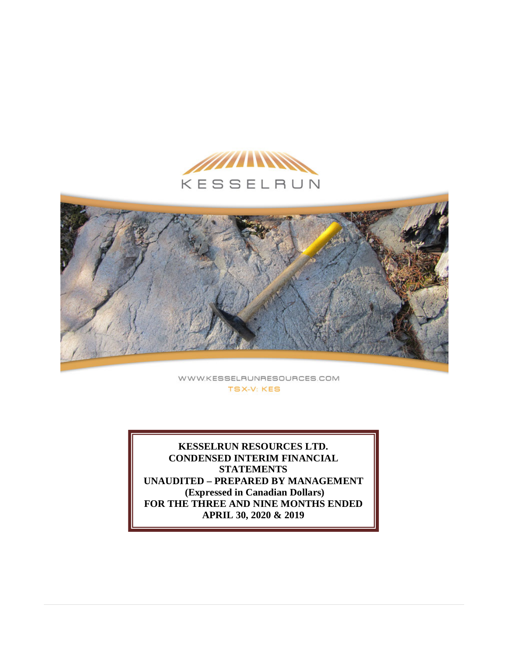



WWW.KESSELRUNRESOURCES.COM **TSX-V: KES** 

**KESSELRUN RESOURCES LTD. CONDENSED INTERIM FINANCIAL STATEMENTS UNAUDITED – PREPARED BY MANAGEMENT (Expressed in Canadian Dollars) FOR THE THREE AND NINE MONTHS ENDED APRIL 30, 2020 & 2019**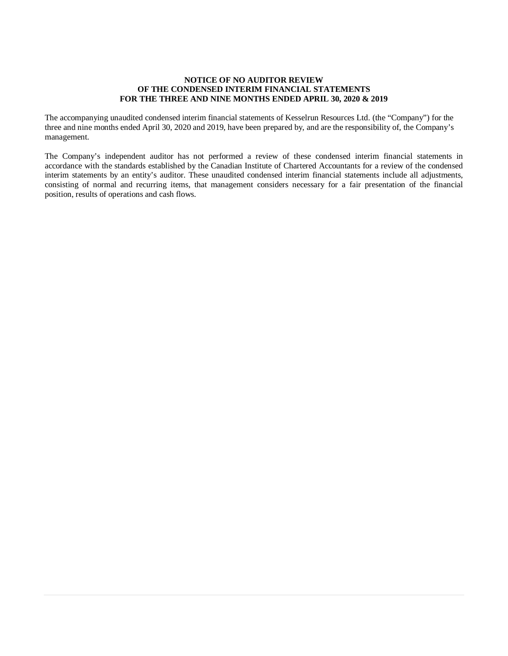### **NOTICE OF NO AUDITOR REVIEW OF THE CONDENSED INTERIM FINANCIAL STATEMENTS FOR THE THREE AND NINE MONTHS ENDED APRIL 30, 2020 & 2019**

The accompanying unaudited condensed interim financial statements of Kesselrun Resources Ltd. (the "Company") for the three and nine months ended April 30, 2020 and 2019, have been prepared by, and are the responsibility of, the Company's management.

The Company's independent auditor has not performed a review of these condensed interim financial statements in accordance with the standards established by the Canadian Institute of Chartered Accountants for a review of the condensed interim statements by an entity's auditor. These unaudited condensed interim financial statements include all adjustments, consisting of normal and recurring items, that management considers necessary for a fair presentation of the financial position, results of operations and cash flows.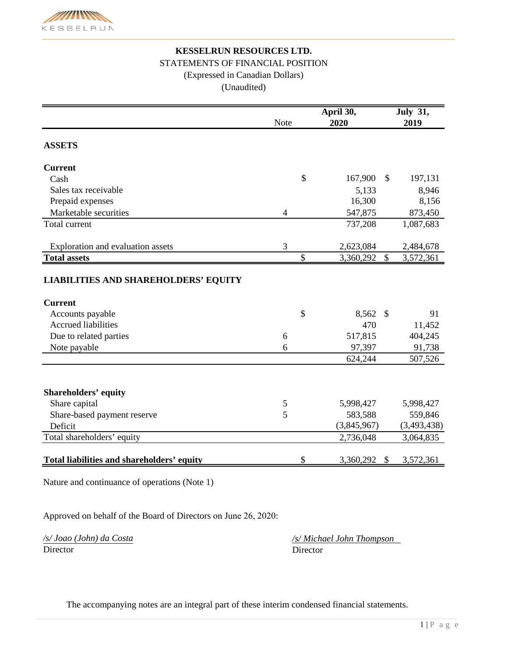

# **KESSELRUN RESOURCES LTD.** STATEMENTS OF FINANCIAL POSITION (Expressed in Canadian Dollars) (Unaudited)

|                                                               | Note | April 30,<br>2020 |               | <b>July 31,</b><br>2019 |
|---------------------------------------------------------------|------|-------------------|---------------|-------------------------|
|                                                               |      |                   |               |                         |
| <b>ASSETS</b>                                                 |      |                   |               |                         |
| <b>Current</b>                                                |      |                   |               |                         |
| Cash                                                          |      | \$<br>167,900     | \$            | 197,131                 |
| Sales tax receivable                                          |      | 5,133             |               | 8,946                   |
| Prepaid expenses                                              |      | 16,300            |               | 8,156                   |
| Marketable securities                                         | 4    | 547,875           |               | 873,450                 |
| <b>Total current</b>                                          |      | 737,208           |               | 1,087,683               |
| Exploration and evaluation assets                             | 3    | 2,623,084         |               | 2,484,678               |
| <b>Total assets</b>                                           |      | \$<br>3,360,292   | $\mathcal{S}$ | 3,572,361               |
| <b>LIABILITIES AND SHAREHOLDERS' EQUITY</b><br><b>Current</b> |      |                   |               |                         |
| Accounts payable                                              |      | \$<br>8,562       | $\mathcal{S}$ | 91                      |
| <b>Accrued liabilities</b>                                    |      | 470               |               | 11,452                  |
| Due to related parties                                        | 6    | 517,815           |               | 404,245                 |
| Note payable                                                  | 6    | 97,397            |               | 91,738                  |
|                                                               |      | 624,244           |               | 507,526                 |
|                                                               |      |                   |               |                         |
| <b>Shareholders' equity</b>                                   |      |                   |               |                         |
| Share capital                                                 | 5    | 5,998,427         |               | 5,998,427               |
| Share-based payment reserve                                   | 5    | 583,588           |               | 559,846                 |
| Deficit                                                       |      | (3,845,967)       |               | (3,493,438)             |
| Total shareholders' equity                                    |      | 2,736,048         |               | 3,064,835               |
| Total liabilities and shareholders' equity                    |      | \$<br>3,360,292   | \$            | 3,572,361               |

Nature and continuance of operations (Note 1)

Approved on behalf of the Board of Directors on June 26, 2020:

*/s/ Joao (John) da Costa* Director Director

*/s/ Michael John Thompson* 

The accompanying notes are an integral part of these interim condensed financial statements.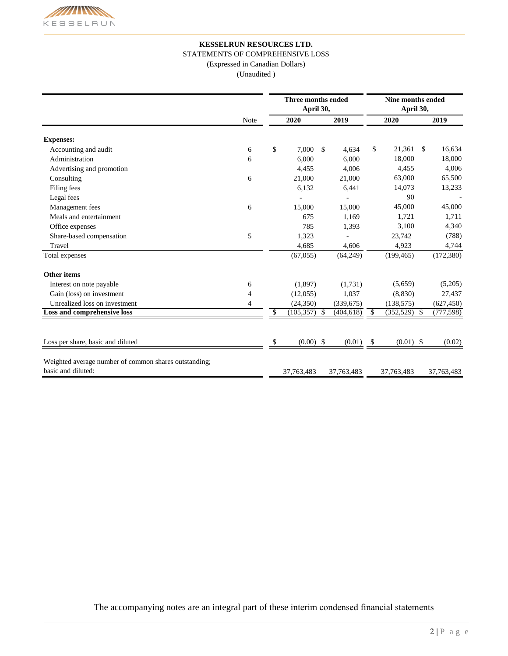### **KESSELRUN RESOURCES LTD.**

STATEMENTS OF COMPREHENSIVE LOSS

(Expressed in Canadian Dollars)

(Unaudited )

|                                                                             |      | Three months ended<br>April 30, |      |             | Nine months ended<br>April 30, |                |               |            |
|-----------------------------------------------------------------------------|------|---------------------------------|------|-------------|--------------------------------|----------------|---------------|------------|
|                                                                             | Note | 2020                            |      | 2019        |                                | 2020           |               | 2019       |
| <b>Expenses:</b>                                                            |      |                                 |      |             |                                |                |               |            |
| Accounting and audit                                                        | 6    | \$<br>7,000                     | - \$ | 4,634       | \$                             | 21,361         | <sup>\$</sup> | 16,634     |
| Administration                                                              | 6    | 6,000                           |      | 6,000       |                                | 18,000         |               | 18,000     |
| Advertising and promotion                                                   |      | 4,455                           |      | 4,006       |                                | 4,455          |               | 4,006      |
| Consulting                                                                  | 6    | 21,000                          |      | 21,000      |                                | 63,000         |               | 65,500     |
| Filing fees                                                                 |      | 6,132                           |      | 6,441       |                                | 14,073         |               | 13,233     |
| Legal fees                                                                  |      |                                 |      |             |                                | 90             |               |            |
| Management fees                                                             | 6    | 15,000                          |      | 15,000      |                                | 45,000         |               | 45,000     |
| Meals and entertainment                                                     |      | 675                             |      | 1,169       |                                | 1,721          |               | 1,711      |
| Office expenses                                                             |      | 785                             |      | 1,393       |                                | 3,100          |               | 4,340      |
| Share-based compensation                                                    | 5    | 1,323                           |      |             |                                | 23,742         |               | (788)      |
| Travel                                                                      |      | 4,685                           |      | 4,606       |                                | 4,923          |               | 4,744      |
| Total expenses                                                              |      | (67,055)                        |      | (64,249)    |                                | (199, 465)     |               | (172, 380) |
| <b>Other items</b>                                                          |      |                                 |      |             |                                |                |               |            |
| Interest on note payable                                                    | 6    | (1,897)                         |      | (1,731)     |                                | (5,659)        |               | (5,205)    |
| Gain (loss) on investment                                                   | 4    | (12,055)                        |      | 1,037       |                                | (8,830)        |               | 27,437     |
| Unrealized loss on investment                                               | 4    | (24, 350)                       |      | (339, 675)  |                                | (138, 575)     |               | (627, 450) |
| Loss and comprehensive loss                                                 |      | \$<br>$(105,357)$ \$            |      | (404, 618)  | \$                             | $(352,529)$ \$ |               | (777, 598) |
| Loss per share, basic and diluted                                           |      | \$<br>$(0.00)$ \$               |      | $(0.01)$ \$ |                                | $(0.01)$ \$    |               | (0.02)     |
| Weighted average number of common shares outstanding;<br>basic and diluted: |      | 37, 763, 483                    |      | 37,763,483  |                                | 37,763,483     |               | 37,763,483 |

The accompanying notes are an integral part of these interim condensed financial statements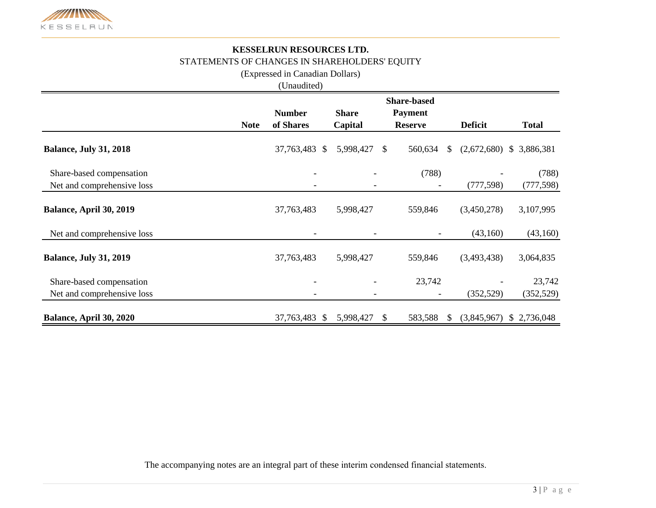

# **KESSELRUN RESOURCES LTD.** STATEMENTS OF CHANGES IN SHAREHOLDERS' EQUITY

(Expressed in Canadian Dollars)

(Unaudited)

|                               |             | <b>Share-based</b> |              |     |                          |                             |              |  |  |
|-------------------------------|-------------|--------------------|--------------|-----|--------------------------|-----------------------------|--------------|--|--|
|                               |             | <b>Number</b>      | <b>Share</b> |     | <b>Payment</b>           |                             |              |  |  |
|                               | <b>Note</b> | of Shares          | Capital      |     | <b>Reserve</b>           | <b>Deficit</b>              | <b>Total</b> |  |  |
| <b>Balance, July 31, 2018</b> |             | 37,763,483<br>\$   | 5,998,427    | \$. | 560,634                  | (2,672,680)<br>$\mathbb{S}$ | \$3,886,381  |  |  |
| Share-based compensation      |             |                    |              |     | (788)                    |                             | (788)        |  |  |
| Net and comprehensive loss    |             |                    |              |     | $\overline{\phantom{a}}$ | (777, 598)                  | (777, 598)   |  |  |
| Balance, April 30, 2019       |             | 37,763,483         | 5,998,427    |     | 559,846                  | (3,450,278)                 | 3,107,995    |  |  |
| Net and comprehensive loss    |             |                    |              |     |                          | (43,160)                    | (43,160)     |  |  |
| <b>Balance, July 31, 2019</b> |             | 37,763,483         | 5,998,427    |     | 559,846                  | (3,493,438)                 | 3,064,835    |  |  |
| Share-based compensation      |             |                    |              |     | 23,742                   |                             | 23,742       |  |  |
| Net and comprehensive loss    |             |                    |              |     |                          | (352, 529)                  | (352, 529)   |  |  |
| Balance, April 30, 2020       |             | 37,763,483 \$      | 5,998,427    | S.  | 583,588                  | (3,845,967)<br><sup>S</sup> | \$2,736,048  |  |  |

The accompanying notes are an integral part of these interim condensed financial statements.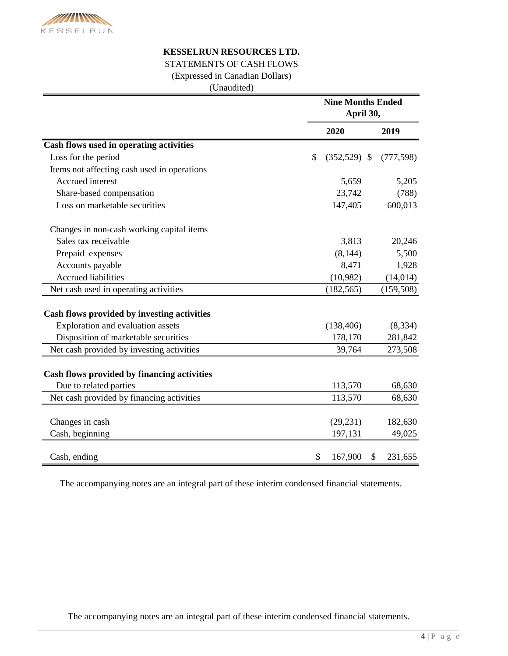

## **KESSELRUN RESOURCES LTD.**

# STATEMENTS OF CASH FLOWS

(Expressed in Canadian Dollars)

(Unaudited)

|                                             |            | <b>Nine Months Ended</b><br>April 30, |            |  |  |
|---------------------------------------------|------------|---------------------------------------|------------|--|--|
|                                             | 2020       |                                       | 2019       |  |  |
| Cash flows used in operating activities     |            |                                       |            |  |  |
| Loss for the period                         | \$         | $(352,529)$ \$                        | (777, 598) |  |  |
| Items not affecting cash used in operations |            |                                       |            |  |  |
| Accrued interest                            |            | 5,659                                 | 5,205      |  |  |
| Share-based compensation                    |            | 23,742                                | (788)      |  |  |
| Loss on marketable securities               |            | 147,405                               | 600,013    |  |  |
| Changes in non-cash working capital items   |            |                                       |            |  |  |
| Sales tax receivable                        |            | 3,813                                 | 20,246     |  |  |
| Prepaid expenses                            |            | (8, 144)                              | 5,500      |  |  |
| Accounts payable                            |            | 8,471                                 | 1,928      |  |  |
| <b>Accrued liabilities</b>                  |            | (10,982)                              | (14, 014)  |  |  |
| Net cash used in operating activities       | (182, 565) |                                       | (159, 508) |  |  |
| Cash flows provided by investing activities |            |                                       |            |  |  |
| Exploration and evaluation assets           | (138, 406) |                                       | (8, 334)   |  |  |
| Disposition of marketable securities        |            | 178,170                               | 281,842    |  |  |
| Net cash provided by investing activities   |            | 39,764                                | 273,508    |  |  |
| Cash flows provided by financing activities |            |                                       |            |  |  |
| Due to related parties                      |            | 113,570                               | 68,630     |  |  |
| Net cash provided by financing activities   |            | 113,570                               | 68,630     |  |  |
| Changes in cash                             |            | (29, 231)                             | 182,630    |  |  |
| Cash, beginning                             |            | 197,131                               | 49,025     |  |  |
|                                             |            |                                       |            |  |  |
| Cash, ending                                | \$         | 167,900<br>\$                         | 231,655    |  |  |

The accompanying notes are an integral part of these interim condensed financial statements.

The accompanying notes are an integral part of these interim condensed financial statements.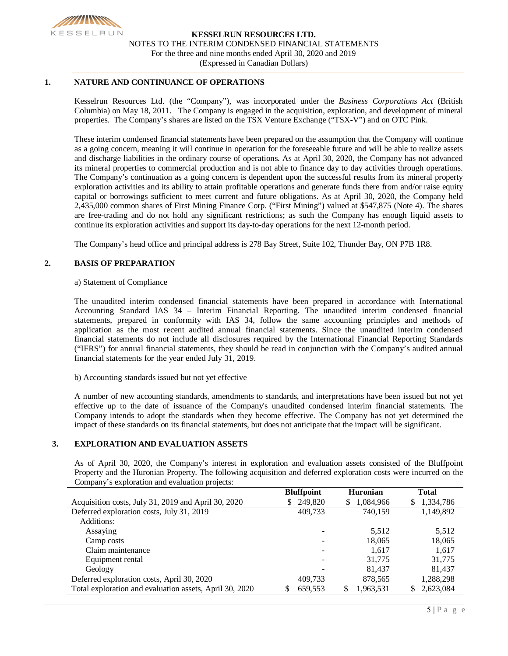

### **1. NATURE AND CONTINUANCE OF OPERATIONS**

Kesselrun Resources Ltd. (the "Company"), was incorporated under the *Business Corporations Act* (British Columbia) on May 18, 2011. The Company is engaged in the acquisition, exploration, and development of mineral properties. The Company's shares are listed on the TSX Venture Exchange ("TSX-V") and on OTC Pink.

These interim condensed financial statements have been prepared on the assumption that the Company will continue as a going concern, meaning it will continue in operation for the foreseeable future and will be able to realize assets and discharge liabilities in the ordinary course of operations. As at April 30, 2020, the Company has not advanced its mineral properties to commercial production and is not able to finance day to day activities through operations. The Company's continuation as a going concern is dependent upon the successful results from its mineral property exploration activities and its ability to attain profitable operations and generate funds there from and/or raise equity capital or borrowings sufficient to meet current and future obligations. As at April 30, 2020, the Company held 2,435,000 common shares of First Mining Finance Corp. ("First Mining") valued at \$547,875 (Note 4). The shares are free-trading and do not hold any significant restrictions; as such the Company has enough liquid assets to continue its exploration activities and support its day-to-day operations for the next 12-month period.

The Company's head office and principal address is 278 Bay Street, Suite 102, Thunder Bay, ON P7B 1R8.

### **2. BASIS OF PREPARATION**

### a) Statement of Compliance

The unaudited interim condensed financial statements have been prepared in accordance with International Accounting Standard IAS 34 – Interim Financial Reporting. The unaudited interim condensed financial statements, prepared in conformity with IAS 34, follow the same accounting principles and methods of application as the most recent audited annual financial statements. Since the unaudited interim condensed financial statements do not include all disclosures required by the International Financial Reporting Standards ("IFRS") for annual financial statements, they should be read in conjunction with the Company's audited annual financial statements for the year ended July 31, 2019.

b) Accounting standards issued but not yet effective

A number of new accounting standards, amendments to standards, and interpretations have been issued but not yet effective up to the date of issuance of the Company's unaudited condensed interim financial statements. The Company intends to adopt the standards when they become effective. The Company has not yet determined the impact of these standards on its financial statements, but does not anticipate that the impact will be significant.

### **3. EXPLORATION AND EVALUATION ASSETS**

As of April 30, 2020, the Company's interest in exploration and evaluation assets consisted of the Bluffpoint Property and the Huronian Property. The following acquisition and deferred exploration costs were incurred on the Company's exploration and evaluation projects:

|                                                         | <b>Bluffpoint</b> | <b>Huronian</b> | <b>Total</b>    |
|---------------------------------------------------------|-------------------|-----------------|-----------------|
| Acquisition costs, July 31, 2019 and April 30, 2020     | 249,820<br>S.     | 1,084,966<br>S. | 1,334,786<br>S. |
| Deferred exploration costs, July 31, 2019               | 409,733           | 740,159         | 1,149,892       |
| Additions:                                              |                   |                 |                 |
| Assaying                                                |                   | 5,512           | 5,512           |
| Camp costs                                              |                   | 18,065          | 18,065          |
| Claim maintenance                                       |                   | 1.617           | 1,617           |
| Equipment rental                                        |                   | 31,775          | 31,775          |
| Geology                                                 |                   | 81,437          | 81,437          |
| Deferred exploration costs, April 30, 2020              | 409,733           | 878,565         | 1,288,298       |
| Total exploration and evaluation assets, April 30, 2020 | 659,553           | 1,963,531<br>\$ | 2,623,084       |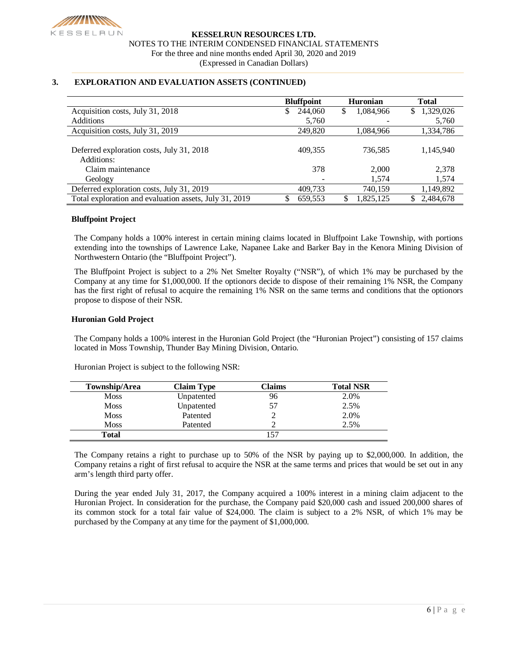

### **3. EXPLORATION AND EVALUATION ASSETS (CONTINUED)**

|                                                         | <b>Bluffpoint</b> | <b>Huronian</b> | <b>Total</b>    |
|---------------------------------------------------------|-------------------|-----------------|-----------------|
| Acquisition costs, July 31, 2018                        | 244,060<br>\$     | \$<br>1,084,966 | 1,329,026<br>S  |
| <b>Additions</b>                                        | 5,760             |                 | 5,760           |
| Acquisition costs, July 31, 2019                        | 249,820           | 1,084,966       | 1,334,786       |
| Deferred exploration costs, July 31, 2018<br>Additions: | 409,355           | 736,585         | 1,145,940       |
| Claim maintenance                                       | 378               | 2,000           | 2,378           |
| Geology                                                 |                   | 1,574           | 1,574           |
| Deferred exploration costs, July 31, 2019               | 409,733           | 740,159         | 1,149,892       |
| Total exploration and evaluation assets, July 31, 2019  | 659,553           | 1,825,125<br>S  | 2.484,678<br>S. |

### **Bluffpoint Project**

The Company holds a 100% interest in certain mining claims located in Bluffpoint Lake Township, with portions extending into the townships of Lawrence Lake, Napanee Lake and Barker Bay in the Kenora Mining Division of Northwestern Ontario (the "Bluffpoint Project").

The Bluffpoint Project is subject to a 2% Net Smelter Royalty ("NSR"), of which 1% may be purchased by the Company at any time for \$1,000,000. If the optionors decide to dispose of their remaining 1% NSR, the Company has the first right of refusal to acquire the remaining 1% NSR on the same terms and conditions that the optionors propose to dispose of their NSR.

### **Huronian Gold Project**

The Company holds a 100% interest in the Huronian Gold Project (the "Huronian Project") consisting of 157 claims located in Moss Township, Thunder Bay Mining Division, Ontario.

| Township/Area | <b>Claim Type</b> | Claims | <b>Total NSR</b> |
|---------------|-------------------|--------|------------------|
| <b>Moss</b>   | Unpatented        | 96     | 2.0%             |
| <b>Moss</b>   | Unpatented        | 57     | 2.5%             |
| <b>Moss</b>   | Patented          |        | 2.0%             |
| <b>Moss</b>   | Patented          |        | 2.5%             |
| Total         |                   |        |                  |

Huronian Project is subject to the following NSR:

The Company retains a right to purchase up to 50% of the NSR by paying up to \$2,000,000. In addition, the Company retains a right of first refusal to acquire the NSR at the same terms and prices that would be set out in any arm's length third party offer.

During the year ended July 31, 2017, the Company acquired a 100% interest in a mining claim adjacent to the Huronian Project. In consideration for the purchase, the Company paid \$20,000 cash and issued 200,000 shares of its common stock for a total fair value of \$24,000. The claim is subject to a 2% NSR, of which 1% may be purchased by the Company at any time for the payment of \$1,000,000.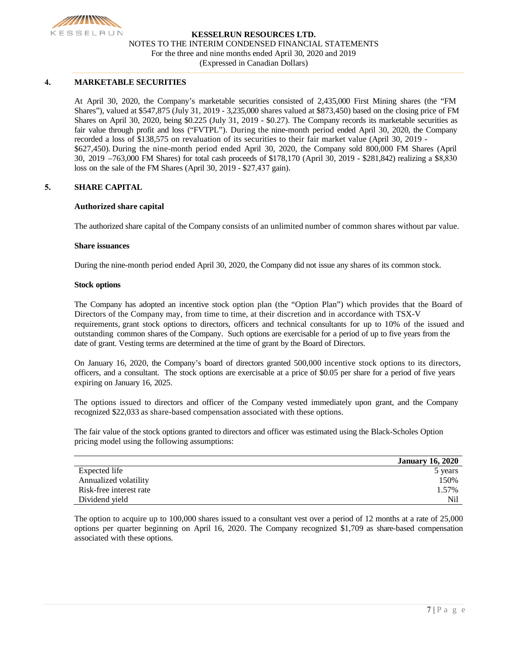

### **4. MARKETABLE SECURITIES**

At April 30, 2020, the Company's marketable securities consisted of 2,435,000 First Mining shares (the "FM Shares"), valued at \$547,875 (July 31, 2019 - 3,235,000 shares valued at \$873,450) based on the closing price of FM Shares on April 30, 2020, being \$0.225 (July 31, 2019 - \$0.27). The Company records its marketable securities as fair value through profit and loss ("FVTPL"). During the nine-month period ended April 30, 2020, the Company recorded a loss of \$138,575 on revaluation of its securities to their fair market value (April 30, 2019 - \$627,450). During the nine-month period ended April 30, 2020, the Company sold 800,000 FM Shares (April 30, 2019 –763,000 FM Shares) for total cash proceeds of \$178,170 (April 30, 2019 - \$281,842) realizing a \$8,830 loss on the sale of the FM Shares (April 30, 2019 - \$27,437 gain).

### **5. SHARE CAPITAL**

### **Authorized share capital**

The authorized share capital of the Company consists of an unlimited number of common shares without par value.

#### **Share issuances**

During the nine-month period ended April 30, 2020, the Company did not issue any shares of its common stock.

#### **Stock options**

The Company has adopted an incentive stock option plan (the "Option Plan") which provides that the Board of Directors of the Company may, from time to time, at their discretion and in accordance with TSX-V requirements, grant stock options to directors, officers and technical consultants for up to 10% of the issued and outstanding common shares of the Company. Such options are exercisable for a period of up to five years from the date of grant. Vesting terms are determined at the time of grant by the Board of Directors.

On January 16, 2020, the Company's board of directors granted 500,000 incentive stock options to its directors, officers, and a consultant. The stock options are exercisable at a price of \$0.05 per share for a period of five years expiring on January 16, 2025.

The options issued to directors and officer of the Company vested immediately upon grant, and the Company recognized \$22,033 as share-based compensation associated with these options.

The fair value of the stock options granted to directors and officer was estimated using the Black-Scholes Option pricing model using the following assumptions:

|                         | <b>January 16, 2020</b> |
|-------------------------|-------------------------|
| Expected life           | 5 years                 |
| Annualized volatility   | 150%                    |
| Risk-free interest rate | 1.57%                   |
| Dividend yield          | Nil                     |

The option to acquire up to 100,000 shares issued to a consultant vest over a period of 12 months at a rate of 25,000 options per quarter beginning on April 16, 2020. The Company recognized \$1,709 as share-based compensation associated with these options.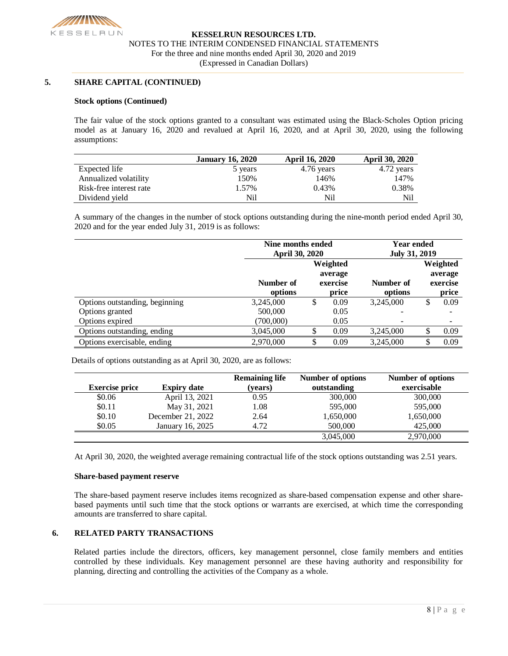

### **5. SHARE CAPITAL (CONTINUED)**

### **Stock options (Continued)**

The fair value of the stock options granted to a consultant was estimated using the Black-Scholes Option pricing model as at January 16, 2020 and revalued at April 16, 2020, and at April 30, 2020, using the following assumptions:

|                         | <b>January 16, 2020</b> | <b>April 16, 2020</b> | <b>April 30, 2020</b> |
|-------------------------|-------------------------|-----------------------|-----------------------|
| Expected life           | 5 years                 | 4.76 years            | 4.72 years            |
| Annualized volatility   | 150%                    | 146%                  | 147%                  |
| Risk-free interest rate | 1.57%                   | 0.43%                 | 0.38%                 |
| Dividend yield          | Nil                     | Nil                   | Nil                   |

A summary of the changes in the number of stock options outstanding during the nine-month period ended April 30, 2020 and for the year ended July 31, 2019 is as follows:

|                                | Nine months ended<br><b>April 30, 2020</b> | <b>Year ended</b><br><b>July 31, 2019</b> |      |           |    |                      |  |                                          |
|--------------------------------|--------------------------------------------|-------------------------------------------|------|-----------|----|----------------------|--|------------------------------------------|
|                                | Number of<br>options                       | Weighted<br>average<br>exercise           |      | price     |    | Number of<br>options |  | Weighted<br>average<br>exercise<br>price |
| Options outstanding, beginning | 3,245,000                                  | \$                                        | 0.09 | 3,245,000 | \$ | 0.09                 |  |                                          |
| Options granted                | 500,000                                    |                                           | 0.05 |           |    |                      |  |                                          |
| Options expired                | (700,000)                                  |                                           | 0.05 |           |    |                      |  |                                          |
| Options outstanding, ending    | 3,045,000                                  |                                           | 0.09 | 3.245,000 |    | 0.09                 |  |                                          |
| Options exercisable, ending    | 2,970,000                                  | ۰D                                        | 0.09 | 3,245,000 |    | 0.09                 |  |                                          |

Details of options outstanding as at April 30, 2020, are as follows:

| <b>Exercise price</b> | <b>Expiry date</b> | <b>Remaining life</b><br>(years) | <b>Number of options</b><br>outstanding | <b>Number of options</b><br>exercisable |
|-----------------------|--------------------|----------------------------------|-----------------------------------------|-----------------------------------------|
| \$0.06                | April 13, 2021     | 0.95                             | 300,000                                 | 300,000                                 |
| \$0.11                | May 31, 2021       | 1.08                             | 595,000                                 | 595,000                                 |
| \$0.10                | December 21, 2022  | 2.64                             | 1,650,000                               | 1,650,000                               |
| \$0.05                | January 16, 2025   | 4.72                             | 500,000                                 | 425,000                                 |
|                       |                    |                                  | 3,045,000                               | 2,970,000                               |

At April 30, 2020, the weighted average remaining contractual life of the stock options outstanding was 2.51 years.

### **Share-based payment reserve**

The share-based payment reserve includes items recognized as share-based compensation expense and other sharebased payments until such time that the stock options or warrants are exercised, at which time the corresponding amounts are transferred to share capital.

### **6. RELATED PARTY TRANSACTIONS**

Related parties include the directors, officers, key management personnel, close family members and entities controlled by these individuals. Key management personnel are these having authority and responsibility for planning, directing and controlling the activities of the Company as a whole.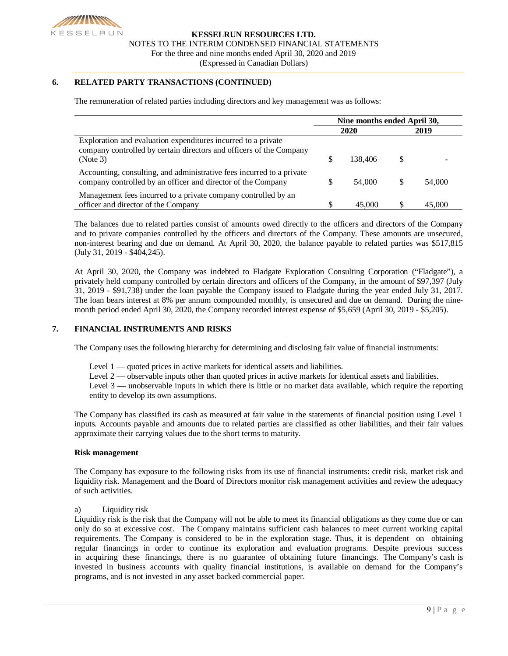

### **6. RELATED PARTY TRANSACTIONS (CONTINUED)**

The remuneration of related parties including directors and key management was as follows:

|                                                                                                                                                  | Nine months ended April 30, |         |     |        |  |
|--------------------------------------------------------------------------------------------------------------------------------------------------|-----------------------------|---------|-----|--------|--|
|                                                                                                                                                  |                             | 2020    |     | 2019   |  |
| Exploration and evaluation expenditures incurred to a private<br>company controlled by certain directors and officers of the Company<br>(Note 3) | S                           | 138,406 | \$. |        |  |
| Accounting, consulting, and administrative fees incurred to a private<br>company controlled by an officer and director of the Company            |                             | 54,000  |     | 54,000 |  |
| Management fees incurred to a private company controlled by an<br>officer and director of the Company                                            |                             | 45,000  |     | 45,000 |  |

The balances due to related parties consist of amounts owed directly to the officers and directors of the Company and to private companies controlled by the officers and directors of the Company. These amounts are unsecured, non-interest bearing and due on demand. At April 30, 2020, the balance payable to related parties was \$517,815 (July 31, 2019 - \$404,245).

At April 30, 2020, the Company was indebted to Fladgate Exploration Consulting Corporation ("Fladgate"), a privately held company controlled by certain directors and officers of the Company, in the amount of \$97,397 (July 31, 2019 - \$91,738) under the loan payable the Company issued to Fladgate during the year ended July 31, 2017. The loan bears interest at 8% per annum compounded monthly, is unsecured and due on demand. During the ninemonth period ended April 30, 2020, the Company recorded interest expense of \$5,659 (April 30, 2019 - \$5,205).

### **7. FINANCIAL INSTRUMENTS AND RISKS**

The Company uses the following hierarchy for determining and disclosing fair value of financial instruments:

- Level 1 quoted prices in active markets for identical assets and liabilities.
- Level 2 observable inputs other than quoted prices in active markets for identical assets and liabilities.

Level 3 — unobservable inputs in which there is little or no market data available, which require the reporting entity to develop its own assumptions.

The Company has classified its cash as measured at fair value in the statements of financial position using Level 1 inputs. Accounts payable and amounts due to related parties are classified as other liabilities, and their fair values approximate their carrying values due to the short terms to maturity.

### **Risk management**

The Company has exposure to the following risks from its use of financial instruments: credit risk, market risk and liquidity risk. Management and the Board of Directors monitor risk management activities and review the adequacy of such activities.

### a) Liquidity risk

Liquidity risk is the risk that the Company will not be able to meet its financial obligations as they come due or can only do so at excessive cost. The Company maintains sufficient cash balances to meet current working capital requirements. The Company is considered to be in the exploration stage. Thus, it is dependent on obtaining regular financings in order to continue its exploration and evaluation programs. Despite previous success in acquiring these financings, there is no guarantee of obtaining future financings. The Company's cash is invested in business accounts with quality financial institutions, is available on demand for the Company's programs, and is not invested in any asset backed commercial paper.